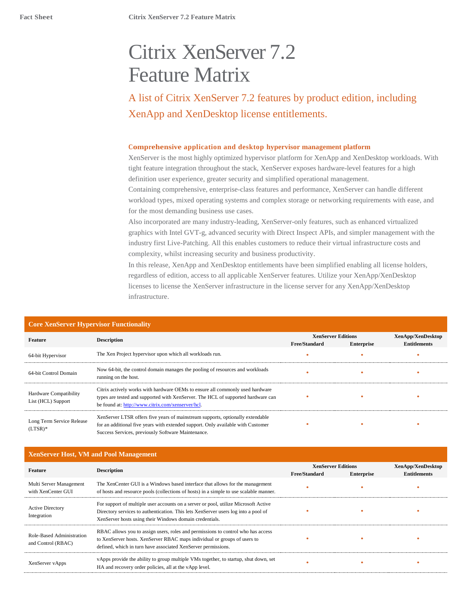# Citrix XenServer 7.2 Feature Matrix

A list of Citrix XenServer 7.2 features by product edition, including XenApp and XenDesktop license entitlements.

#### **Comprehensive application and desktop hypervisor management platform**

XenServer is the most highly optimized hypervisor platform for XenApp and XenDesktop workloads. With tight feature integration throughout the stack, XenServer exposes hardware-level features for a high definition user experience, greater security and simplified operational management.

Containing comprehensive, enterprise-class features and performance, XenServer can handle different workload types, mixed operating systems and complex storage or networking requirements with ease, and for the most demanding business use cases.

Also incorporated are many industry-leading, XenServer-only features, such as enhanced virtualized graphics with Intel GVT-g, advanced security with Direct Inspect APIs, and simpler management with the industry first Live-Patching. All this enables customers to reduce their virtual infrastructure costs and complexity, whilst increasing security and business productivity.

In this release, XenApp and XenDesktop entitlements have been simplified enabling all license holders, regardless of edition, access to all applicable XenServer features. Utilize your XenApp/XenDesktop licenses to license the XenServer infrastructure in the license server for any XenApp/XenDesktop infrastructure.

| Core Aeliserver Hypervisor Functionality     |                                                                                                                                                                                                                          |                           |                   |                     |
|----------------------------------------------|--------------------------------------------------------------------------------------------------------------------------------------------------------------------------------------------------------------------------|---------------------------|-------------------|---------------------|
| <b>Feature</b>                               |                                                                                                                                                                                                                          | <b>XenServer Editions</b> |                   | XenApp/XenDesktop   |
|                                              | <b>Description</b>                                                                                                                                                                                                       | Free/Standard             | <b>Enterprise</b> | <b>Entitlements</b> |
| 64-bit Hypervisor                            | The Xen Project hypervisor upon which all workloads run.                                                                                                                                                                 |                           |                   |                     |
| 64-bit Control Domain                        | Now 64-bit, the control domain manages the pooling of resources and workloads<br>running on the host.                                                                                                                    |                           |                   |                     |
| Hardware Compatibility<br>List (HCL) Support | Citrix actively works with hardware OEMs to ensure all commonly used hardware<br>types are tested and supported with XenServer. The HCL of supported hardware can<br>be found at: http://www.citrix.com/xenserver/hcl.   |                           |                   |                     |
| Long Term Service Release<br>$(LTSR)^*$      | XenServer LTSR offers five years of mainstream supports, optionally extendable<br>for an additional five years with extended support. Only available with Customer<br>Success Services, previously Software Maintenance. |                           | ٠                 | ٠                   |

#### **Core XenServer Hypervisor Functionality**

### **XenServer Host, VM and Pool Management**

| Feature                                         |                                                                                                                                                                                                                                      | <b>XenServer Editions</b> |                   | XenApp/XenDesktop   |
|-------------------------------------------------|--------------------------------------------------------------------------------------------------------------------------------------------------------------------------------------------------------------------------------------|---------------------------|-------------------|---------------------|
|                                                 | <b>Description</b>                                                                                                                                                                                                                   | <b>Free/Standard</b>      | <b>Enterprise</b> | <b>Entitlements</b> |
| Multi Server Management<br>with XenCenter GUI   | The XenCenter GUI is a Windows based interface that allows for the management<br>of hosts and resource pools (collections of hosts) in a simple to use scalable manner.                                                              |                           |                   |                     |
| <b>Active Directory</b><br>Integration          | For support of multiple user accounts on a server or pool, utilize Microsoft Active<br>Directory services to authentication. This lets XenServer users log into a pool of<br>XenServer hosts using their Windows domain credentials. |                           |                   |                     |
| Role-Based Administration<br>and Control (RBAC) | RBAC allows you to assign users, roles and permissions to control who has access<br>to XenServer hosts. XenServer RBAC maps individual or groups of users to<br>defined, which in turn have associated XenServer permissions.        |                           |                   |                     |
| XenServer vApps                                 | vApps provide the ability to group multiple VMs together, to startup, shut down, set<br>HA and recovery order policies, all at the vApp level.                                                                                       |                           |                   |                     |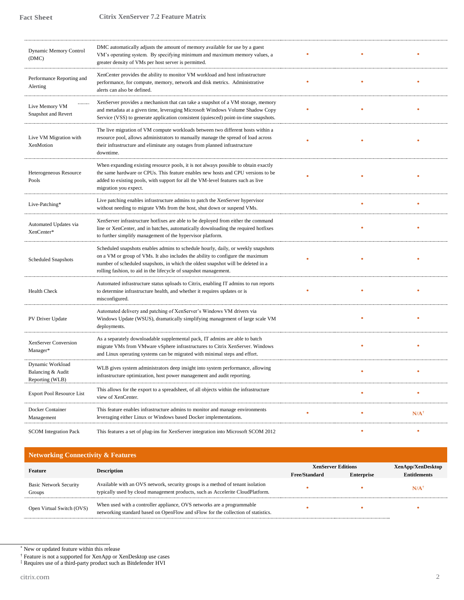| <b>Dynamic Memory Control</b><br>(DMC)                   | DMC automatically adjusts the amount of memory available for use by a guest<br>VM's operating system. By specifying minimum and maximum memory values, a<br>greater density of VMs per host server is permitted.                                                                                                            |   |                 |
|----------------------------------------------------------|-----------------------------------------------------------------------------------------------------------------------------------------------------------------------------------------------------------------------------------------------------------------------------------------------------------------------------|---|-----------------|
| Performance Reporting and<br>Alerting                    | XenCenter provides the ability to monitor VM workload and host infrastructure<br>performance, for compute, memory, network and disk metrics. Administrative<br>alerts can also be defined.                                                                                                                                  |   |                 |
| Live Memory VM<br>Snapshot and Revert                    | XenServer provides a mechanism that can take a snapshot of a VM storage, memory<br>and metadata at a given time, leveraging Microsoft Windows Volume Shadow Copy<br>Service (VSS) to generate application consistent (quiesced) point-in-time snapshots.                                                                    |   |                 |
| Live VM Migration with<br>XenMotion                      | The live migration of VM compute workloads between two different hosts within a<br>resource pool, allows administrators to manually manage the spread of load across<br>their infrastructure and eliminate any outages from planned infrastructure<br>downtime.                                                             |   |                 |
| Heterogeneous Resource<br>Pools                          | When expanding existing resource pools, it is not always possible to obtain exactly<br>the same hardware or CPUs. This feature enables new hosts and CPU versions to be<br>added to existing pools, with support for all the VM-level features such as live<br>migration you expect.                                        |   |                 |
| Live-Patching*                                           | Live patching enables infrastructure admins to patch the XenServer hypervisor<br>without needing to migrate VMs from the host, shut down or suspend VMs.                                                                                                                                                                    | ä |                 |
| Automated Updates via<br>XenCenter*                      | XenServer infrastructure hotfixes are able to be deployed from either the command<br>line or XenCenter, and in batches, automatically downloading the required hotfixes<br>to further simplify management of the hypervisor platform.                                                                                       |   |                 |
| <b>Scheduled Snapshots</b>                               | Scheduled snapshots enables admins to schedule hourly, daily, or weekly snapshots<br>on a VM or group of VMs. It also includes the ability to configure the maximum<br>number of scheduled snapshots, in which the oldest snapshot will be deleted in a<br>rolling fashion, to aid in the lifecycle of snapshot management. |   |                 |
| <b>Health Check</b>                                      | Automated infrastructure status uploads to Citrix, enabling IT admins to run reports<br>to determine infrastructure health, and whether it requires updates or is<br>misconfigured.                                                                                                                                         |   |                 |
| PV Driver Update                                         | Automated delivery and patching of XenServer's Windows VM drivers via<br>Windows Update (WSUS), dramatically simplifying management of large scale VM<br>deployments.                                                                                                                                                       |   |                 |
| XenServer Conversion<br>Manager*                         | As a separately downloadable supplemental pack, IT admins are able to batch<br>migrate VMs from VMware vSphere infrastructures to Citrix XenServer. Windows<br>and Linux operating systems can be migrated with minimal steps and effort.                                                                                   |   |                 |
| Dynamic Workload<br>Balancing & Audit<br>Reporting (WLB) | WLB gives system administrators deep insight into system performance, allowing<br>infrastructure optimization, host power management and audit reporting.                                                                                                                                                                   | ä |                 |
| <b>Export Pool Resource List</b>                         | This allows for the export to a spreadsheet, of all objects within the infrastructure<br>view of XenCenter.                                                                                                                                                                                                                 |   |                 |
| Docker Container<br>Management                           | This feature enables infrastructure admins to monitor and manage environments<br>leveraging either Linux or Windows based Docker implementations.                                                                                                                                                                           | ٠ | $N/A^{\dagger}$ |
| <b>SCOM</b> Integration Pack                             | This features a set of plug-ins for XenServer integration into Microsoft SCOM 2012                                                                                                                                                                                                                                          |   |                 |

# **Networking Connectivity & Features**

| Feature                                 | <b>Description</b>                                                                                                                                               | <b>XenServer Editions</b> |                   | XenApp/XenDesktop   |
|-----------------------------------------|------------------------------------------------------------------------------------------------------------------------------------------------------------------|---------------------------|-------------------|---------------------|
|                                         |                                                                                                                                                                  | <b>Free/Standard</b>      | <b>Enterprise</b> | <b>Entitlements</b> |
| <b>Basic Network Security</b><br>Groups | Available with an OVS network, security groups is a method of tenant isolation<br>typically used by cloud management products, such as Accelerite CloudPlatform. |                           |                   | $N/A$ <sup>†</sup>  |
| Open Virtual Switch (OVS)               | When used with a controller appliance, OVS networks are a programmable<br>networking standard based on OpenFlow and sFlow for the collection of statistics.      |                           |                   |                     |

<sup>\*</sup> New or updated feature within this release

† Feature is not a supported for XenApp or XenDesktop use cases

‡ Requires use of a third-party product such as Bitdefender HVI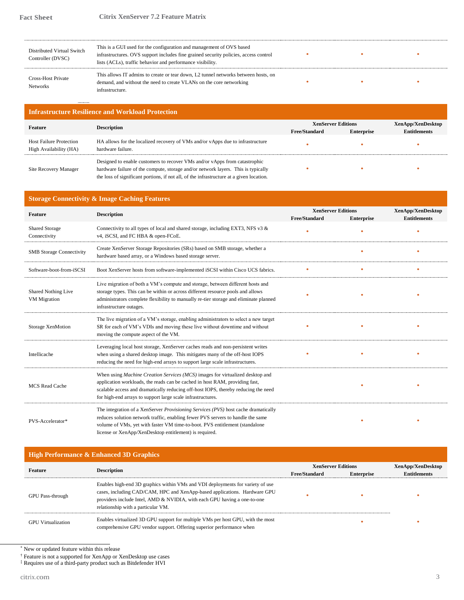| Distributed Virtual Switch<br>Controller (DVSC) | This is a GUI used for the configuration and management of OVS based<br>infrastructures. OVS support includes fine grained security policies, access control<br>lists (ACLs), traffic behavior and performance visibility. |  |  |
|-------------------------------------------------|----------------------------------------------------------------------------------------------------------------------------------------------------------------------------------------------------------------------------|--|--|
| Cross-Host Private<br><b>Networks</b>           | This allows IT admins to create or tear down, L2 tunnel networks between hosts, on<br>demand, and without the need to create VLANs on the core networking<br>infrastructure.                                               |  |  |

# **Infrastructure Resilience and Workload Protection**

| Feature                                                  | <b>Description</b>                                                                                                                                                                                                                                          | <b>XenServer Editions</b><br><b>Free/Standard</b> |                   | XenApp/XenDesktop   |
|----------------------------------------------------------|-------------------------------------------------------------------------------------------------------------------------------------------------------------------------------------------------------------------------------------------------------------|---------------------------------------------------|-------------------|---------------------|
|                                                          |                                                                                                                                                                                                                                                             |                                                   | <b>Enterprise</b> | <b>Entitlements</b> |
| <b>Host Failure Protection</b><br>High Availability (HA) | HA allows for the localized recovery of VMs and/or vApps due to infrastructure<br>hardware failure.                                                                                                                                                         |                                                   |                   |                     |
| Site Recovery Manager                                    | Designed to enable customers to recover VMs and/or vApps from catastrophic<br>hardware failure of the compute, storage and/or network layers. This is typically<br>the loss of significant portions, if not all, of the infrastructure at a given location. |                                                   |                   |                     |

#### **Storage Connectivity & Image Caching Features**

|                                       | Connectivity of mage caeming I cattle to                                                                                                                                                                                                                                                                                 |                           |                   |                     |
|---------------------------------------|--------------------------------------------------------------------------------------------------------------------------------------------------------------------------------------------------------------------------------------------------------------------------------------------------------------------------|---------------------------|-------------------|---------------------|
| Feature                               | <b>Description</b>                                                                                                                                                                                                                                                                                                       | <b>XenServer Editions</b> |                   | XenApp/XenDesktop   |
|                                       |                                                                                                                                                                                                                                                                                                                          | <b>Free/Standard</b>      | <b>Enterprise</b> | <b>Entitlements</b> |
| <b>Shared Storage</b><br>Connectivity | Connectivity to all types of local and shared storage, including EXT3, NFS v3 &<br>v4, iSCSI, and FC HBA & open-FCoE.                                                                                                                                                                                                    |                           |                   |                     |
| <b>SMB</b> Storage Connectivity       | Create XenServer Storage Repositories (SRs) based on SMB storage, whether a<br>hardware based array, or a Windows based storage server.                                                                                                                                                                                  |                           |                   |                     |
| Software-boot-from-iSCSI              | Boot XenServer hosts from software-implemented iSCSI within Cisco UCS fabrics.                                                                                                                                                                                                                                           |                           |                   |                     |
| Shared Nothing Live<br>VM Migration   | Live migration of both a VM's compute and storage, between different hosts and<br>storage types. This can be within or across different resource pools and allows<br>administrators complete flexibility to manually re-tier storage and eliminate planned<br>infrastructure outages.                                    |                           |                   |                     |
| Storage XenMotion                     | The live migration of a VM's storage, enabling administrators to select a new target<br>SR for each of VM's VDIs and moving these live without downtime and without<br>moving the compute aspect of the VM.                                                                                                              |                           |                   |                     |
| Intellicache                          | Leveraging local host storage, XenServer caches reads and non-persistent writes<br>when using a shared desktop image. This mitigates many of the off-host IOPS<br>reducing the need for high-end arrays to support large scale infrastructures.                                                                          |                           |                   |                     |
| <b>MCS</b> Read Cache                 | When using <i>Machine Creation Services (MCS)</i> images for virtualized desktop and<br>application workloads, the reads can be cached in host RAM, providing fast,<br>scalable access and dramatically reducing off-host IOPS, thereby reducing the need<br>for high-end arrays to support large scale infrastructures. |                           |                   |                     |
| PVS-Accelerator*                      | The integration of a XenServer <i>Provisioning Services (PVS)</i> host cache dramatically<br>reduces solution network traffic, enabling fewer PVS servers to handle the same<br>volume of VMs, yet with faster VM time-to-boot. PVS entitlement (standalone<br>license or XenApp/XenDesktop entitlement) is required.    |                           |                   |                     |

# **High Performance & Enhanced 3D Graphics**

| Feature                   | <b>Description</b>                                                                                                                                                                                                                                                            | <b>XenServer Editions</b> |                   | XenApp/XenDesktop   |
|---------------------------|-------------------------------------------------------------------------------------------------------------------------------------------------------------------------------------------------------------------------------------------------------------------------------|---------------------------|-------------------|---------------------|
|                           |                                                                                                                                                                                                                                                                               | <b>Free/Standard</b>      | <b>Enterprise</b> | <b>Entitlements</b> |
| <b>GPU</b> Pass-through   | Enables high-end 3D graphics within VMs and VDI deployments for variety of use<br>cases, including CAD/CAM, HPC and XenApp-based applications. Hardware GPU<br>providers include Intel, AMD & NVIDIA, with each GPU having a one-to-one<br>relationship with a particular VM. |                           |                   |                     |
| <b>GPU</b> Virtualization | Enables virtualized 3D GPU support for multiple VMs per host GPU, with the most<br>comprehensive GPU vendor support. Offering superior performance when                                                                                                                       |                           |                   |                     |

\* New or updated feature within this release

† Feature is not a supported for XenApp or XenDesktop use cases

‡ Requires use of a third-party product such as Bitdefender HVI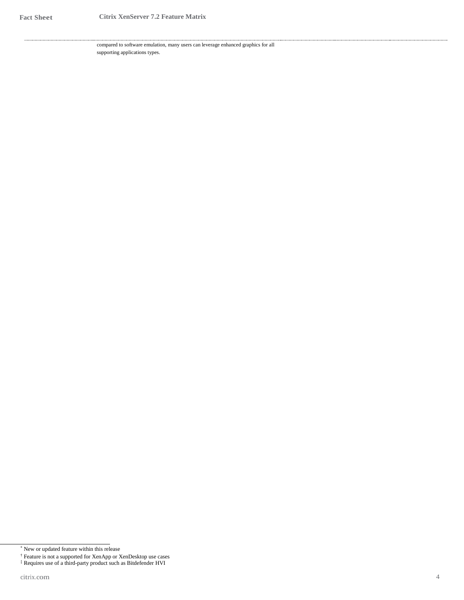compared to software emulation, many users can leverage enhanced graphics for all supporting applications types.

<sup>\*</sup> New or updated feature within this release

<sup>†</sup> Feature is not a supported for XenApp or XenDesktop use cases

<sup>‡</sup> Requires use of a third-party product such as Bitdefender HVI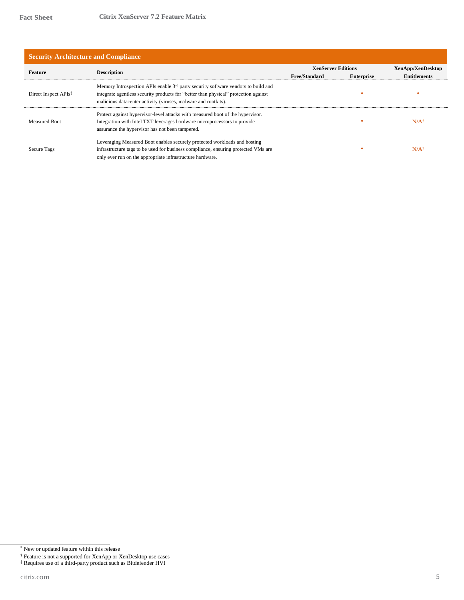| <b>Security Architecture and Compliance</b> |                                                                                                                                                                                                                                                        |                                                                        |  |                     |
|---------------------------------------------|--------------------------------------------------------------------------------------------------------------------------------------------------------------------------------------------------------------------------------------------------------|------------------------------------------------------------------------|--|---------------------|
| Feature                                     | <b>Description</b>                                                                                                                                                                                                                                     | <b>XenServer Editions</b><br><b>Free/Standard</b><br><b>Enterprise</b> |  | XenApp/XenDesktop   |
|                                             |                                                                                                                                                                                                                                                        |                                                                        |  | <b>Entitlements</b> |
| Direct Inspect APIs <sup>‡</sup>            | Memory Introspection APIs enable 3 <sup>rd</sup> party security software vendors to build and<br>integrate agentless security products for "better than physical" protection against<br>malicious datacenter activity (viruses, malware and rootkits). |                                                                        |  |                     |
| <b>Measured Boot</b>                        | Protect against hypervisor-level attacks with measured boot of the hypervisor.<br>Integration with Intel TXT leverages hardware microprocessors to provide<br>assurance the hypervisor has not been tampered.                                          |                                                                        |  | N/A                 |
| Secure Tags                                 | Leveraging Measured Boot enables securely protected workloads and hosting<br>infrastructure tags to be used for business compliance, ensuring protected VMs are<br>only ever run on the appropriate infrastructure hardware.                           |                                                                        |  | N/A                 |

<sup>\*</sup> New or updated feature within this release

<sup>†</sup> Feature is not a supported for XenApp or XenDesktop use cases

<sup>‡</sup> Requires use of a third-party product such as Bitdefender HVI